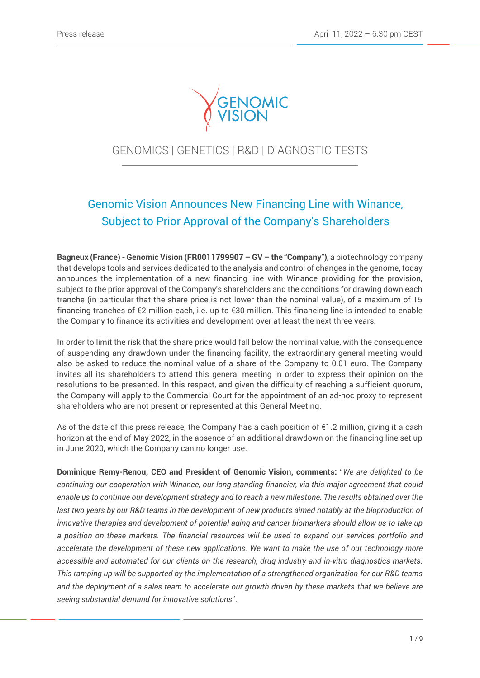

# GENOMICS | GENETICS | R&D | DIAGNOSTIC TESTS

# Genomic Vision Announces New Financing Line with Winance, Subject to Prior Approval of the Company's Shareholders

**Bagneux (France) - Genomic Vision (FR0011799907 – GV – the "Company")**, a biotechnology company that develops tools and services dedicated to the analysis and control of changes in the genome, today announces the implementation of a new financing line with Winance providing for the provision, subject to the prior approval of the Company's shareholders and the conditions for drawing down each tranche (in particular that the share price is not lower than the nominal value), of a maximum of 15 financing tranches of €2 million each, i.e. up to €30 million. This financing line is intended to enable the Company to finance its activities and development over at least the next three years.

In order to limit the risk that the share price would fall below the nominal value, with the consequence of suspending any drawdown under the financing facility, the extraordinary general meeting would also be asked to reduce the nominal value of a share of the Company to 0.01 euro. The Company invites all its shareholders to attend this general meeting in order to express their opinion on the resolutions to be presented. In this respect, and given the difficulty of reaching a sufficient quorum, the Company will apply to the Commercial Court for the appointment of an ad-hoc proxy to represent shareholders who are not present or represented at this General Meeting.

As of the date of this press release, the Company has a cash position of  $\epsilon$ 1.2 million, giving it a cash horizon at the end of May 2022, in the absence of an additional drawdown on the financing line set up in June 2020, which the Company can no longer use.

**Dominique Remy-Renou, CEO and President of Genomic Vision, comments:** "*We are delighted to be continuing our cooperation with Winance, our long-standing financier, via this major agreement that could enable us to continue our development strategy and to reach a new milestone. The results obtained over the last two years by our R&D teams in the development of new products aimed notably at the bioproduction of innovative therapies and development of potential aging and cancer biomarkers should allow us to take up a position on these markets. The financial resources will be used to expand our services portfolio and accelerate the development of these new applications. We want to make the use of our technology more accessible and automated for our clients on the research, drug industry and in-vitro diagnostics markets. This ramping up will be supported by the implementation of a strengthened organization for our R&D teams and the deployment of a sales team to accelerate our growth driven by these markets that we believe are seeing substantial demand for innovative solutions*".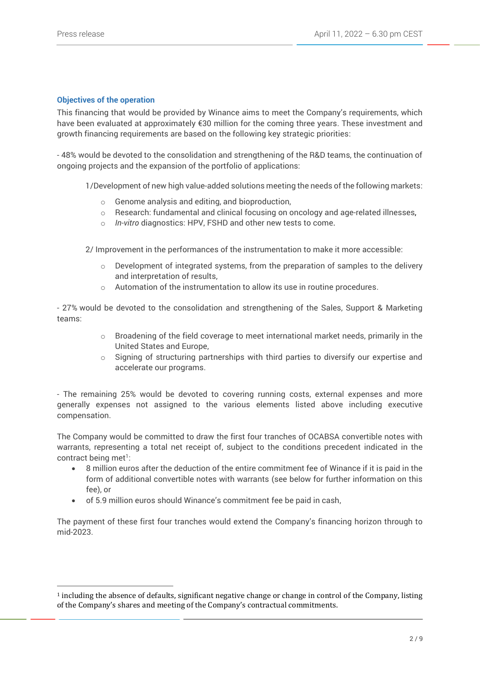# **Objectives of the operation**

This financing that would be provided by Winance aims to meet the Company's requirements, which have been evaluated at approximately €30 million for the coming three years. These investment and growth financing requirements are based on the following key strategic priorities:

- 48% would be devoted to the consolidation and strengthening of the R&D teams, the continuation of ongoing projects and the expansion of the portfolio of applications:

1/Development of new high value-added solutions meeting the needs of the following markets:

- o Genome analysis and editing, and bioproduction,
- $\circ$  Research: fundamental and clinical focusing on oncology and age-related illnesses,
- o *In-vitro* diagnostics: HPV, FSHD and other new tests to come.

2/ Improvement in the performances of the instrumentation to make it more accessible:

- $\circ$  Development of integrated systems, from the preparation of samples to the delivery and interpretation of results,
- o Automation of the instrumentation to allow its use in routine procedures.

- 27% would be devoted to the consolidation and strengthening of the Sales, Support & Marketing teams:

- $\circ$  Broadening of the field coverage to meet international market needs, primarily in the United States and Europe,
- $\circ$  Signing of structuring partnerships with third parties to diversify our expertise and accelerate our programs.

- The remaining 25% would be devoted to covering running costs, external expenses and more generally expenses not assigned to the various elements listed above including executive compensation.

The Company would be committed to draw the first four tranches of OCABSA convertible notes with warrants, representing a total net receipt of, subject to the conditions precedent indicated in the contract being met<sup>1</sup>:

- 8 million euros after the deduction of the entire commitment fee of Winance if it is paid in the form of additional convertible notes with warrants (see below for further information on this fee), or
- of 5.9 million euros should Winance's commitment fee be paid in cash,

The payment of these first four tranches would extend the Company's financing horizon through to mid-2023.

 $<sup>1</sup>$  including the absence of defaults, significant negative change or change in control of the Company, listing</sup> of the Company's shares and meeting of the Company's contractual commitments.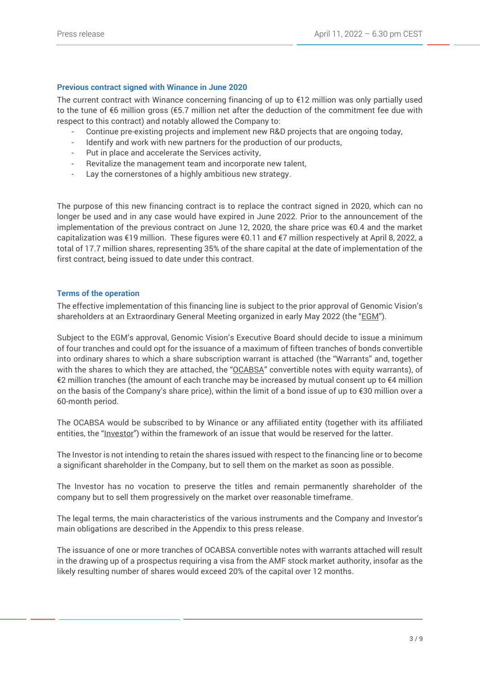# **Previous contract signed with Winance in June 2020**

The current contract with Winance concerning financing of up to €12 million was only partially used to the tune of €6 million gross (€5.7 million net after the deduction of the commitment fee due with respect to this contract) and notably allowed the Company to:

- Continue pre-existing projects and implement new R&D projects that are ongoing today,
- Identify and work with new partners for the production of our products,
- Put in place and accelerate the Services activity,
- Revitalize the management team and incorporate new talent,
- Lay the cornerstones of a highly ambitious new strategy.

The purpose of this new financing contract is to replace the contract signed in 2020, which can no longer be used and in any case would have expired in June 2022. Prior to the announcement of the implementation of the previous contract on June 12, 2020, the share price was €0.4 and the market capitalization was €19 million. These figures were €0.11 and €7 million respectively at April 8, 2022, a total of 17.7 million shares, representing 35% of the share capital at the date of implementation of the first contract, being issued to date under this contract.

#### **Terms of the operation**

The effective implementation of this financing line is subject to the prior approval of Genomic Vision's shareholders at an Extraordinary General Meeting organized in early May 2022 (the "EGM").

Subject to the EGM's approval, Genomic Vision's Executive Board should decide to issue a minimum of four tranches and could opt for the issuance of a maximum of fifteen tranches of bonds convertible into ordinary shares to which a share subscription warrant is attached (the "Warrants" and, together with the shares to which they are attached, the "OCABSA" convertible notes with equity warrants), of €2 million tranches (the amount of each tranche may be increased by mutual consent up to €4 million on the basis of the Company's share price), within the limit of a bond issue of up to €30 million over a 60-month period.

The OCABSA would be subscribed to by Winance or any affiliated entity (together with its affiliated entities, the "Investor") within the framework of an issue that would be reserved for the latter.

The Investor is not intending to retain the shares issued with respect to the financing line or to become a significant shareholder in the Company, but to sell them on the market as soon as possible.

The Investor has no vocation to preserve the titles and remain permanently shareholder of the company but to sell them progressively on the market over reasonable timeframe.

The legal terms, the main characteristics of the various instruments and the Company and Investor's main obligations are described in the Appendix to this press release.

The issuance of one or more tranches of OCABSA convertible notes with warrants attached will result in the drawing up of a prospectus requiring a visa from the AMF stock market authority, insofar as the likely resulting number of shares would exceed 20% of the capital over 12 months.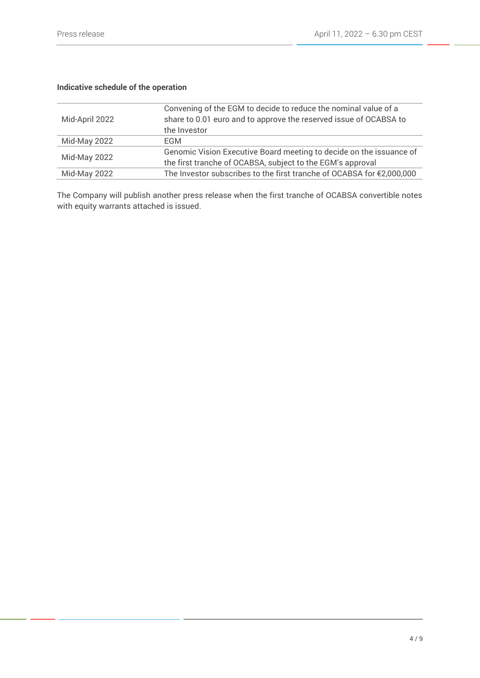# **Indicative schedule of the operation**

| Mid-April 2022 | Convening of the EGM to decide to reduce the nominal value of a<br>share to 0.01 euro and to approve the reserved issue of OCABSA to<br>the Investor |
|----------------|------------------------------------------------------------------------------------------------------------------------------------------------------|
| Mid-May 2022   | EGM.                                                                                                                                                 |
| Mid-May 2022   | Genomic Vision Executive Board meeting to decide on the issuance of<br>the first tranche of OCABSA, subject to the EGM's approval                    |
| Mid-May 2022   | The Investor subscribes to the first tranche of OCABSA for €2,000,000                                                                                |

The Company will publish another press release when the first tranche of OCABSA convertible notes with equity warrants attached is issued.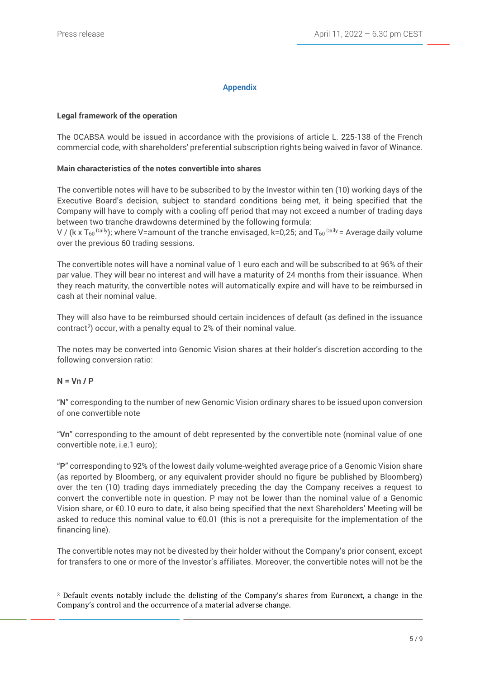# **Appendix**

# **Legal framework of the operation**

The OCABSA would be issued in accordance with the provisions of article L. 225-138 of the French commercial code, with shareholders' preferential subscription rights being waived in favor of Winance.

# **Main characteristics of the notes convertible into shares**

The convertible notes will have to be subscribed to by the Investor within ten (10) working days of the Executive Board's decision, subject to standard conditions being met, it being specified that the Company will have to comply with a cooling off period that may not exceed a number of trading days between two tranche drawdowns determined by the following formula:

V / (k x T<sub>60</sub> Daily); where V=amount of the tranche envisaged, k=0,25; and T<sub>60</sub> Daily = Average daily volume over the previous 60 trading sessions.

The convertible notes will have a nominal value of 1 euro each and will be subscribed to at 96% of their par value. They will bear no interest and will have a maturity of 24 months from their issuance. When they reach maturity, the convertible notes will automatically expire and will have to be reimbursed in cash at their nominal value.

They will also have to be reimbursed should certain incidences of default (as defined in the issuance contract<sup>2</sup>) occur, with a penalty equal to 2% of their nominal value.

The notes may be converted into Genomic Vision shares at their holder's discretion according to the following conversion ratio:

#### **N = Vn / P**

"**N**" corresponding to the number of new Genomic Vision ordinary shares to be issued upon conversion of one convertible note

"**Vn**" corresponding to the amount of debt represented by the convertible note (nominal value of one convertible note, i.e.1 euro);

"**P**" corresponding to 92% of the lowest daily volume-weighted average price of a Genomic Vision share (as reported by Bloomberg, or any equivalent provider should no figure be published by Bloomberg) over the ten (10) trading days immediately preceding the day the Company receives a request to convert the convertible note in question. P may not be lower than the nominal value of a Genomic Vision share, or €0.10 euro to date, it also being specified that the next Shareholders' Meeting will be asked to reduce this nominal value to €0.01 (this is not a prerequisite for the implementation of the financing line).

The convertible notes may not be divested by their holder without the Company's prior consent, except for transfers to one or more of the Investor's affiliates. Moreover, the convertible notes will not be the

<sup>2</sup> Default events notably include the delisting of the Company's shares from Euronext, a change in the Company's control and the occurrence of a material adverse change.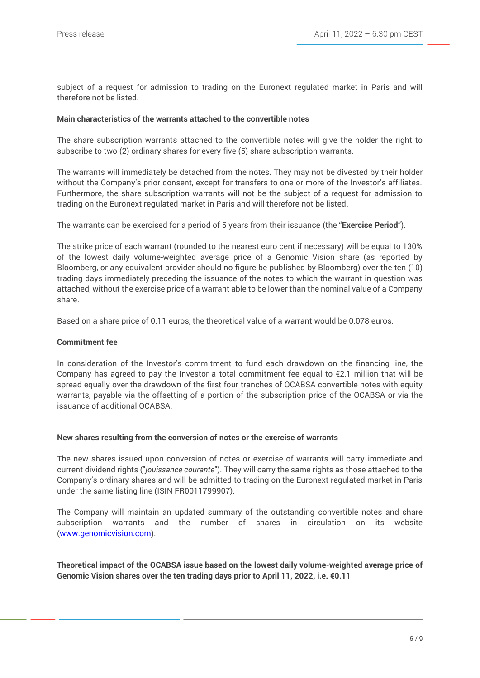subject of a request for admission to trading on the Euronext regulated market in Paris and will therefore not be listed.

#### **Main characteristics of the warrants attached to the convertible notes**

The share subscription warrants attached to the convertible notes will give the holder the right to subscribe to two (2) ordinary shares for every five (5) share subscription warrants.

The warrants will immediately be detached from the notes. They may not be divested by their holder without the Company's prior consent, except for transfers to one or more of the Investor's affiliates. Furthermore, the share subscription warrants will not be the subject of a request for admission to trading on the Euronext regulated market in Paris and will therefore not be listed.

The warrants can be exercised for a period of 5 years from their issuance (the "**Exercise Period**").

The strike price of each warrant (rounded to the nearest euro cent if necessary) will be equal to 130% of the lowest daily volume-weighted average price of a Genomic Vision share (as reported by Bloomberg, or any equivalent provider should no figure be published by Bloomberg) over the ten (10) trading days immediately preceding the issuance of the notes to which the warrant in question was attached, without the exercise price of a warrant able to be lower than the nominal value of a Company share.

Based on a share price of 0.11 euros, the theoretical value of a warrant would be 0.078 euros.

# **Commitment fee**

In consideration of the Investor's commitment to fund each drawdown on the financing line, the Company has agreed to pay the Investor a total commitment fee equal to €2.1 million that will be spread equally over the drawdown of the first four tranches of OCABSA convertible notes with equity warrants, payable via the offsetting of a portion of the subscription price of the OCABSA or via the issuance of additional OCABSA.

#### **New shares resulting from the conversion of notes or the exercise of warrants**

The new shares issued upon conversion of notes or exercise of warrants will carry immediate and current dividend rights ("*jouissance courante*"). They will carry the same rights as those attached to the Company's ordinary shares and will be admitted to trading on the Euronext regulated market in Paris under the same listing line (ISIN FR0011799907).

The Company will maintain an updated summary of the outstanding convertible notes and share subscription warrants and the number of shares in circulation on its website [\(www.genomicvision.com\)](http://www.genomicvision.com/).

**Theoretical impact of the OCABSA issue based on the lowest daily volume-weighted average price of Genomic Vision shares over the ten trading days prior to April 11, 2022, i.e. €0.11**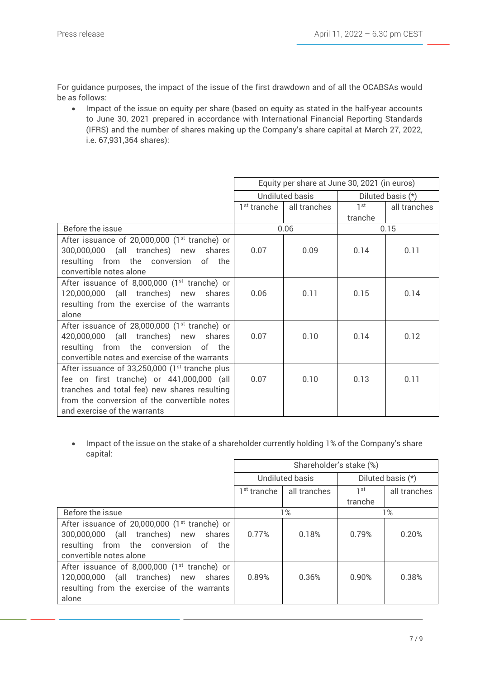For guidance purposes, the impact of the issue of the first drawdown and of all the OCABSAs would be as follows:

• Impact of the issue on equity per share (based on equity as stated in the half-year accounts to June 30, 2021 prepared in accordance with International Financial Reporting Standards (IFRS) and the number of shares making up the Company's share capital at March 27, 2022, i.e. 67,931,364 shares):

|                                                                                                                                                                                                                               | Equity per share at June 30, 2021 (in euros) |              |                   |              |
|-------------------------------------------------------------------------------------------------------------------------------------------------------------------------------------------------------------------------------|----------------------------------------------|--------------|-------------------|--------------|
|                                                                                                                                                                                                                               | <b>Undiluted basis</b>                       |              | Diluted basis (*) |              |
|                                                                                                                                                                                                                               | 1 <sup>st</sup> tranche                      | all tranches | 1 <sup>st</sup>   | all tranches |
|                                                                                                                                                                                                                               |                                              |              | tranche           |              |
| Before the issue                                                                                                                                                                                                              | 0.06                                         |              | 0.15              |              |
| After issuance of 20,000,000 (1 <sup>st</sup> tranche) or<br>300,000,000 (all tranches) new shares<br>resulting from the conversion of the<br>convertible notes alone                                                         | 0.07                                         | 0.09         | 0.14              | 0.11         |
| After issuance of 8,000,000 (1 <sup>st</sup> tranche) or<br>120,000,000 (all tranches) new shares<br>resulting from the exercise of the warrants<br>alone                                                                     | 0.06                                         | 0.11         | 0.15              | 0.14         |
| After issuance of 28,000,000 (1 <sup>st</sup> tranche) or<br>420,000,000 (all tranches) new shares<br>resulting from the conversion of the<br>convertible notes and exercise of the warrants                                  | 0.07                                         | 0.10         | 0.14              | 0.12         |
| After issuance of 33,250,000 $(1st$ tranche plus<br>fee on first tranche) or 441,000,000 (all<br>tranches and total fee) new shares resulting<br>from the conversion of the convertible notes<br>and exercise of the warrants | 0.07                                         | 0.10         | 0.13              | 0.11         |

• Impact of the issue on the stake of a shareholder currently holding 1% of the Company's share capital:

|                                                                                                                                                                       | Shareholder's stake (%)   |              |                   |              |
|-----------------------------------------------------------------------------------------------------------------------------------------------------------------------|---------------------------|--------------|-------------------|--------------|
|                                                                                                                                                                       | Undiluted basis           |              | Diluted basis (*) |              |
|                                                                                                                                                                       | $1st$ tranche $\parallel$ | all tranches | 1 st              | all tranches |
|                                                                                                                                                                       |                           |              | tranche           |              |
| Before the issue                                                                                                                                                      | 1%                        |              | 1%                |              |
| After issuance of 20,000,000 (1 <sup>st</sup> tranche) or<br>300,000,000 (all tranches) new shares<br>resulting from the conversion of the<br>convertible notes alone | 0.77%                     | 0.18%        | 0.79%             | 0.20%        |
| After issuance of 8,000,000 (1 <sup>st</sup> tranche) or<br>(all tranches) new shares<br>120,000,000<br>resulting from the exercise of the warrants<br>alone          | 0.89%                     | 0.36%        | 0.90%             | 0.38%        |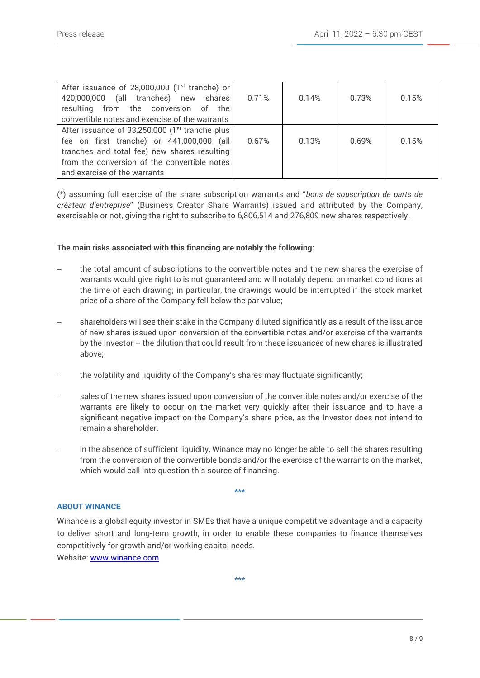| After issuance of 28,000,000 (1 <sup>st</sup> tranche) or<br>420,000,000 (all tranches) new shares<br>resulting from the conversion of the<br>convertible notes and exercise of the warrants                                | 0.71% | 0.14% | 0.73% | 0.15% |
|-----------------------------------------------------------------------------------------------------------------------------------------------------------------------------------------------------------------------------|-------|-------|-------|-------|
| After issuance of 33,250,000 (1st tranche plus<br>fee on first tranche) or 441,000,000 (all<br>tranches and total fee) new shares resulting<br>from the conversion of the convertible notes<br>and exercise of the warrants | 0.67% | 0.13% | 0.69% | 0.15% |

(\*) assuming full exercise of the share subscription warrants and "*bons de souscription de parts de créateur d'entreprise*" (Business Creator Share Warrants) issued and attributed by the Company, exercisable or not, giving the right to subscribe to 6,806,514 and 276,809 new shares respectively.

# **The main risks associated with this financing are notably the following:**

- the total amount of subscriptions to the convertible notes and the new shares the exercise of warrants would give right to is not guaranteed and will notably depend on market conditions at the time of each drawing; in particular, the drawings would be interrupted if the stock market price of a share of the Company fell below the par value;
- shareholders will see their stake in the Company diluted significantly as a result of the issuance of new shares issued upon conversion of the convertible notes and/or exercise of the warrants by the Investor – the dilution that could result from these issuances of new shares is illustrated above;
- the volatility and liquidity of the Company's shares may fluctuate significantly;
- sales of the new shares issued upon conversion of the convertible notes and/or exercise of the warrants are likely to occur on the market very quickly after their issuance and to have a significant negative impact on the Company's share price, as the Investor does not intend to remain a shareholder.
- in the absence of sufficient liquidity, Winance may no longer be able to sell the shares resulting from the conversion of the convertible bonds and/or the exercise of the warrants on the market, which would call into question this source of financing.

**\*\*\***

#### **ABOUT WINANCE**

Winance is a global equity investor in SMEs that have a unique competitive advantage and a capacity to deliver short and long-term growth, in order to enable these companies to finance themselves competitively for growth and/or working capital needs.

Website: [www.winance.com](http://www.winance.com/)

**\*\*\***